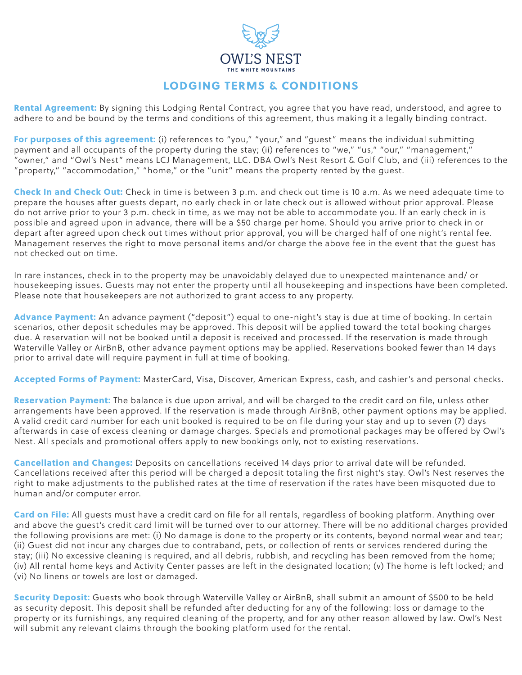

## LODGING TERMS & CONDITIONS

Rental Agreement: By signing this Lodging Rental Contract, you agree that you have read, understood, and agree to adhere to and be bound by the terms and conditions of this agreement, thus making it a legally binding contract.

For purposes of this agreement: (i) references to "you," "your," and "guest" means the individual submitting payment and all occupants of the property during the stay; (ii) references to "we," "us," "our," "management," "owner," and "Owl's Nest" means LCJ Management, LLC. DBA Owl's Nest Resort & Golf Club, and (iii) references to the "property," "accommodation," "home," or the "unit" means the property rented by the guest.

Check In and Check Out: Check in time is between 3 p.m. and check out time is 10 a.m. As we need adequate time to prepare the houses after guests depart, no early check in or late check out is allowed without prior approval. Please do not arrive prior to your 3 p.m. check in time, as we may not be able to accommodate you. If an early check in is possible and agreed upon in advance, there will be a \$50 charge per home. Should you arrive prior to check in or depart after agreed upon check out times without prior approval, you will be charged half of one night's rental fee. Management reserves the right to move personal items and/or charge the above fee in the event that the guest has not checked out on time.

In rare instances, check in to the property may be unavoidably delayed due to unexpected maintenance and/ or housekeeping issues. Guests may not enter the property until all housekeeping and inspections have been completed. Please note that housekeepers are not authorized to grant access to any property.

Advance Payment: An advance payment ("deposit") equal to one-night's stay is due at time of booking. In certain scenarios, other deposit schedules may be approved. This deposit will be applied toward the total booking charges due. A reservation will not be booked until a deposit is received and processed. If the reservation is made through Waterville Valley or AirBnB, other advance payment options may be applied. Reservations booked fewer than 14 days prior to arrival date will require payment in full at time of booking.

Accepted Forms of Payment: MasterCard, Visa, Discover, American Express, cash, and cashier's and personal checks.

Reservation Payment: The balance is due upon arrival, and will be charged to the credit card on file, unless other arrangements have been approved. If the reservation is made through AirBnB, other payment options may be applied. A valid credit card number for each unit booked is required to be on file during your stay and up to seven (7) days afterwards in case of excess cleaning or damage charges. Specials and promotional packages may be offered by Owl's Nest. All specials and promotional offers apply to new bookings only, not to existing reservations.

Cancellation and Changes: Deposits on cancellations received 14 days prior to arrival date will be refunded. Cancellations received after this period will be charged a deposit totaling the first night's stay. Owl's Nest reserves the right to make adjustments to the published rates at the time of reservation if the rates have been misquoted due to human and/or computer error.

Card on File: All quests must have a credit card on file for all rentals, regardless of booking platform. Anything over and above the guest's credit card limit will be turned over to our attorney. There will be no additional charges provided the following provisions are met: (i) No damage is done to the property or its contents, beyond normal wear and tear; (ii) Guest did not incur any charges due to contraband, pets, or collection of rents or services rendered during the stay; (iii) No excessive cleaning is required, and all debris, rubbish, and recycling has been removed from the home; (iv) All rental home keys and Activity Center passes are left in the designated location; (v) The home is left locked; and (vi) No linens or towels are lost or damaged.

Security Deposit: Guests who book through Waterville Valley or AirBnB, shall submit an amount of \$500 to be held as security deposit. This deposit shall be refunded after deducting for any of the following: loss or damage to the property or its furnishings, any required cleaning of the property, and for any other reason allowed by law. Owl's Nest will submit any relevant claims through the booking platform used for the rental.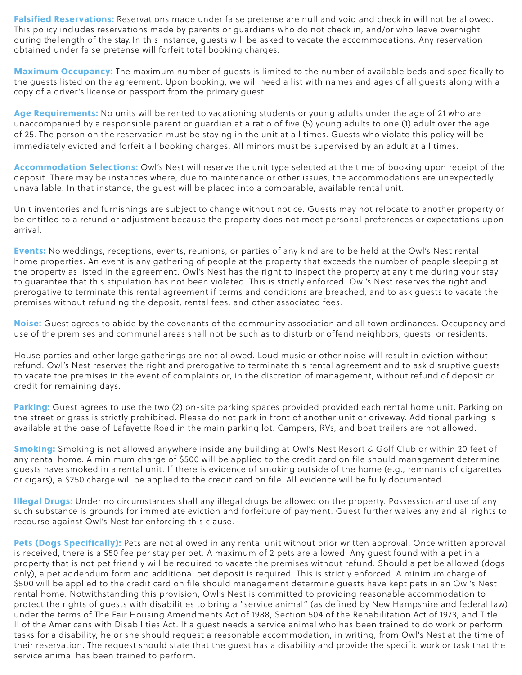Falsified Reservations: Reservations made under false pretense are null and void and check in will not be allowed. This policy includes reservations made by parents or guardians who do not check in, and/or who leave overnight during the length of the stay. In this instance, guests will be asked to vacate the accommodations. Any reservation obtained under false pretense will forfeit total booking charges.

Maximum Occupancy: The maximum number of quests is limited to the number of available beds and specifically to the guests listed on the agreement. Upon booking, we will need a list with names and ages of all guests along with a copy of a driver's license or passport from the primary guest.

Age Requirements: No units will be rented to vacationing students or young adults under the age of 21 who are unaccompanied by a responsible parent or guardian at a ratio of five (5) young adults to one (1) adult over the age of 25. The person on the reservation must be staying in the unit at all times. Guests who violate this policy will be immediately evicted and forfeit all booking charges. All minors must be supervised by an adult at all times.

Accommodation Selections: Owl's Nest will reserve the unit type selected at the time of booking upon receipt of the deposit. There may be instances where, due to maintenance or other issues, the accommodations are unexpectedly unavailable. In that instance, the guest will be placed into a comparable, available rental unit.

Unit inventories and furnishings are subject to change without notice. Guests may not relocate to another property or be entitled to a refund or adjustment because the property does not meet personal preferences or expectations upon arrival.

Events: No weddings, receptions, events, reunions, or parties of any kind are to be held at the Owl's Nest rental home properties. An event is any gathering of people at the property that exceeds the number of people sleeping at the property as listed in the agreement. Owl's Nest has the right to inspect the property at any time during your stay to guarantee that this stipulation has not been violated. This is strictly enforced. Owl's Nest reserves the right and prerogative to terminate this rental agreement if terms and conditions are breached, and to ask guests to vacate the premises without refunding the deposit, rental fees, and other associated fees.

Noise: Guest agrees to abide by the covenants of the community association and all town ordinances. Occupancy and use of the premises and communal areas shall not be such as to disturb or offend neighbors, guests, or residents.

House parties and other large gatherings are not allowed. Loud music or other noise will result in eviction without refund. Owl's Nest reserves the right and prerogative to terminate this rental agreement and to ask disruptive guests to vacate the premises in the event of complaints or, in the discretion of management, without refund of deposit or credit for remaining days.

Parking: Guest agrees to use the two (2) on-site parking spaces provided provided each rental home unit. Parking on the street or grass is strictly prohibited. Please do not park in front of another unit or driveway. Additional parking is available at the base of Lafayette Road in the main parking lot. Campers, RVs, and boat trailers are not allowed.

Smoking: Smoking is not allowed anywhere inside any building at Owl's Nest Resort & Golf Club or within 20 feet of any rental home. A minimum charge of \$500 will be applied to the credit card on file should management determine guests have smoked in a rental unit. If there is evidence of smoking outside of the home (e.g., remnants of cigarettes or cigars), a \$250 charge will be applied to the credit card on file. All evidence will be fully documented.

Illegal Drugs: Under no circumstances shall any illegal drugs be allowed on the property. Possession and use of any such substance is grounds for immediate eviction and forfeiture of payment. Guest further waives any and all rights to recourse against Owl's Nest for enforcing this clause.

Pets (Dogs Specifically): Pets are not allowed in any rental unit without prior written approval. Once written approval is received, there is a \$50 fee per stay per pet. A maximum of 2 pets are allowed. Any guest found with a pet in a property that is not pet friendly will be required to vacate the premises without refund. Should a pet be allowed (dogs only), a pet addendum form and additional pet deposit is required. This is strictly enforced. A minimum charge of \$500 will be applied to the credit card on file should management determine guests have kept pets in an Owl's Nest rental home. Notwithstanding this provision, Owl's Nest is committed to providing reasonable accommodation to protect the rights of guests with disabilities to bring a "service animal" (as defined by New Hampshire and federal law) under the terms of The Fair Housing Amendments Act of 1988, Section 504 of the Rehabilitation Act of 1973, and Title II of the Americans with Disabilities Act. If a guest needs a service animal who has been trained to do work or perform tasks for a disability, he or she should request a reasonable accommodation, in writing, from Owl's Nest at the time of their reservation. The request should state that the guest has a disability and provide the specific work or task that the service animal has been trained to perform.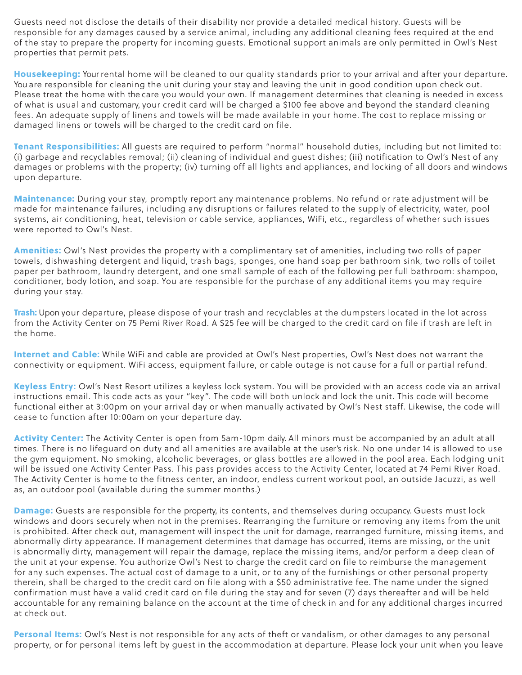Guests need not disclose the details of their disability nor provide a detailed medical history. Guests will be responsible for any damages caused by a service animal, including any additional cleaning fees required at the end of the stay to prepare the property for incoming guests. Emotional support animals are only permitted in Owl's Nest properties that permit pets.

Housekeeping: Your rental home will be cleaned to our quality standards prior to your arrival and after your departure. You are responsible for cleaning the unit during your stay and leaving the unit in good condition upon check out. Please treat the home with the care you would your own. If management determines that cleaning is needed in excess of what is usual and customary, your credit card will be charged a \$100 fee above and beyond the standard cleaning fees. An adequate supply of linens and towels will be made available in your home. The cost to replace missing or damaged linens or towels will be charged to the credit card on file.

Tenant Responsibilities: All quests are required to perform "normal" household duties, including but not limited to: (i) garbage and recyclables removal; (ii) cleaning of individual and guest dishes; (iii) notification to Owl's Nest of any damages or problems with the property; (iv) turning off all lights and appliances, and locking of all doors and windows upon departure.

Maintenance: During your stay, promptly report any maintenance problems. No refund or rate adjustment will be made for maintenance failures, including any disruptions or failures related to the supply of electricity, water, pool systems, air conditioning, heat, television or cable service, appliances, WiFi, etc., regardless of whether such issues were reported to Owl's Nest.

Amenities: Owl's Nest provides the property with a complimentary set of amenities, including two rolls of paper towels, dishwashing detergent and liquid, trash bags, sponges, one hand soap per bathroom sink, two rolls of toilet paper per bathroom, laundry detergent, and one small sample of each of the following per full bathroom: shampoo, conditioner, body lotion, and soap. You are responsible for the purchase of any additional items you may require during your stay.

Trash: Upon your departure, please dispose of your trash and recyclables at the dumpsters located in the lot across from the Activity Center on 75 Pemi River Road. A \$25 fee will be charged to the credit card on file if trash are left in the home.

Internet and Cable: While WiFi and cable are provided at Owl's Nest properties, Owl's Nest does not warrant the connectivity or equipment. WiFi access, equipment failure, or cable outage is not cause for a full or partial refund.

Keyless Entry: Owl's Nest Resort utilizes a keyless lock system. You will be provided with an access code via an arrival instructions email. This code acts as your "key". The code will both unlock and lock the unit. This code will become functional either at 3:00pm on your arrival day or when manually activated by Owl's Nest staff. Likewise, the code will cease to function after 10:00am on your departure day.

Activity Center: The Activity Center is open from 5am-10pm daily. All minors must be accompanied by an adult at all times. There is no lifeguard on duty and all amenities are available at the user's risk. No one under 14 is allowed to use the gym equipment. No smoking, alcoholic beverages, or glass bottles are allowed in the pool area. Each lodging unit will be issued one Activity Center Pass. This pass provides access to the Activity Center, located at 74 Pemi River Road. The Activity Center is home to the fitness center, an indoor, endless current workout pool, an outside Jacuzzi, as well as, an outdoor pool (available during the summer months.)

Damage: Guests are responsible for the property, its contents, and themselves during occupancy. Guests must lock windows and doors securely when not in the premises. Rearranging the furniture or removing any items from the unit is prohibited. After check out, management will inspect the unit for damage, rearranged furniture, missing items, and abnormally dirty appearance. If management determines that damage has occurred, items are missing, or the unit is abnormally dirty, management will repair the damage, replace the missing items, and/or perform a deep clean of the unit at your expense. You authorize Owl's Nest to charge the credit card on file to reimburse the management for any such expenses. The actual cost of damage to a unit, or to any of the furnishings or other personal property therein, shall be charged to the credit card on file along with a \$50 administrative fee. The name under the signed confirmation must have a valid credit card on file during the stay and for seven (7) days thereafter and will be held accountable for any remaining balance on the account at the time of check in and for any additional charges incurred at check out.

Personal Items: Owl's Nest is not responsible for any acts of theft or vandalism, or other damages to any personal property, or for personal items left by guest in the accommodation at departure. Please lock your unit when you leave